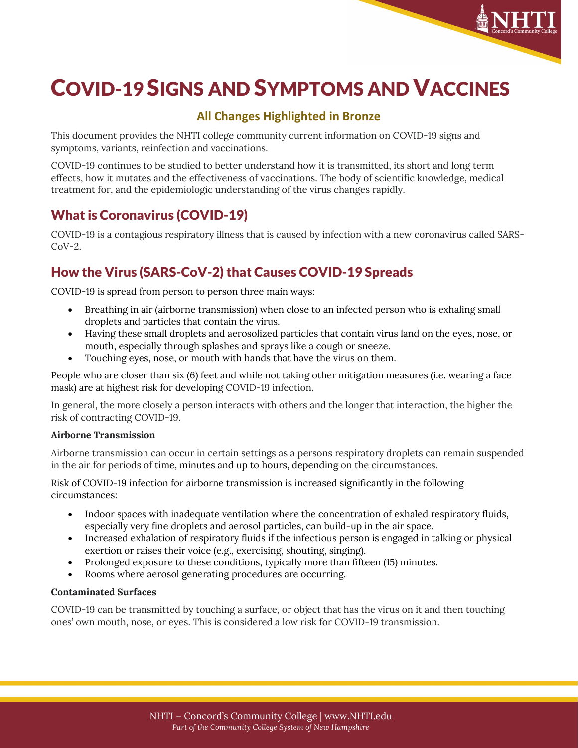

# COVID-19 SIGNS AND SYMPTOMS AND VACCINES

## **All Changes Highlighted in Bronze**

This document provides the NHTI college community current information on COVID-19 signs and symptoms, variants, reinfection and vaccinations.

COVID-19 continues to be studied to better understand how it is transmitted, its short and long term effects, how it mutates and the effectiveness of vaccinations. The body of scientific knowledge, medical treatment for, and the epidemiologic understanding of the virus changes rapidly.

## What is Coronavirus (COVID-19)

COVID-19 is a contagious respiratory illness that is caused by infection with a new coronavirus called SARS- $Cov-2$ .

# How the Virus (SARS-CoV-2) that Causes COVID-19 Spreads

COVID-19 is spread from person to person three main ways:

- Breathing in air (airborne transmission) when close to an infected person who is exhaling small droplets and particles that contain the virus.
- Having these small droplets and aerosolized particles that contain virus land on the eyes, nose, or mouth, especially through splashes and sprays like a cough or sneeze.
- Touching eyes, nose, or mouth with hands that have the virus on them.

People who are closer than six (6) feet and while not taking other mitigation measures (i.e. wearing a face mask) are at highest risk for developing COVID-19 infection.

In general, the more closely a person interacts with others and the longer that interaction, the higher the risk of contracting COVID-19.

## **Airborne Transmission**

Airborne transmission can occur in certain settings as a persons respiratory droplets can remain suspended in the air for periods of time, minutes and up to hours, depending on the circumstances.

Risk of COVID-19 infection for airborne transmission is increased significantly in the following circumstances:

- Indoor spaces with inadequate ventilation where the concentration of exhaled respiratory fluids, especially very fine droplets and aerosol particles, can build-up in the air space.
- Increased exhalation of respiratory fluids if the infectious person is engaged in talking or physical exertion or raises their voice (e.g., exercising, shouting, singing).
- Prolonged exposure to these conditions, typically more than fifteen (15) minutes.
- Rooms where aerosol generating procedures are occurring.

#### **Contaminated Surfaces**

COVID-19 can be transmitted by touching a surface, or object that has the virus on it and then touching ones' own mouth, nose, or eyes. This is considered a low risk for COVID-19 transmission.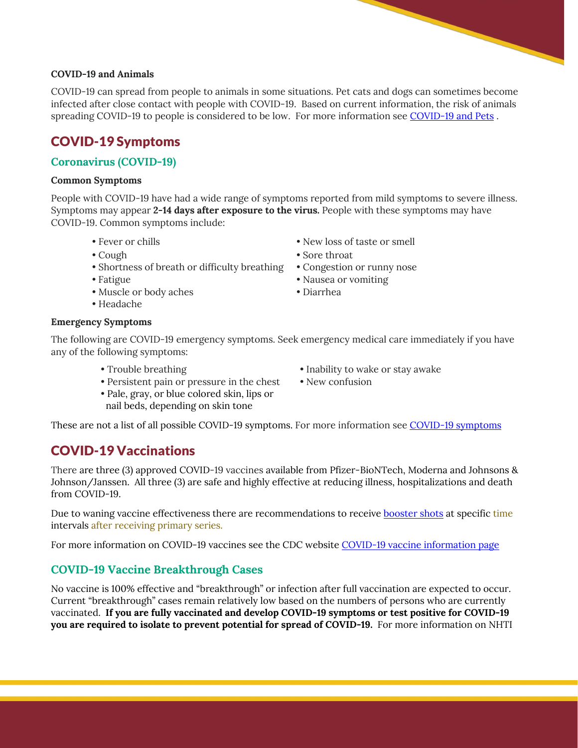#### **COVID-19 and Animals**

COVID-19 can spread from people to animals in some situations. Pet cats and dogs can sometimes become infected after close contact with people with COVID-19. Based on current information, the risk of animals spreading COVID-19 to people is considered to be low. For more information see [COVID-19 and Pets](https://www.cdc.gov/coronavirus/2019-ncov/daily-life-coping/pets.html) .

## COVID-19 Symptoms

## **Coronavirus (COVID-19)**

#### **Common Symptoms**

People with COVID-19 have had a wide range of symptoms reported from mild symptoms to severe illness. Symptoms may appear **2-14 days after exposure to the virus.** People with these symptoms may have COVID-19. Common symptoms include:

- 
- 
- Shortness of breath or difficulty breathing Congestion or runny nose
- 
- Muscle or body aches Diarrhea
- Headache

#### **Emergency Symptoms**

The following are COVID-19 emergency symptoms. Seek emergency medical care immediately if you have any of the following symptoms:

- 
- Persistent pain or pressure in the chest New confusion
- Pale, gray, or blue colored skin, lips or nail beds, depending on skin tone
- Trouble breathing Inability to wake or stay awake
	-

These are not a list of all possible COVID-19 symptoms. For more information see [COVID-19 symptoms](https://www.cdc.gov/coronavirus/2019-ncov/symptoms-testing/symptoms.html)

## COVID-19 Vaccinations

There are three (3) approved COVID-19 vaccines available from Pfizer-BioNTech, Moderna and Johnsons & Johnson/Janssen. All three (3) are safe and highly effective at reducing illness, hospitalizations and death from COVID-19.

Due to waning vaccine effectiveness there are recommendations to receive [booster shots](https://www.cdc.gov/coronavirus/2019-ncov/vaccines/booster-shot.html) at specific time intervals after receiving primary series.

For more information on COVID-19 vaccines see the CDC website [COVID-19 vaccine information page](https://www.cdc.gov/coronavirus/2019-ncov/vaccines/index.html)

## **COVID-19 Vaccine Breakthrough Cases**

No vaccine is 100% effective and "breakthrough" or infection after full vaccination are expected to occur. Current "breakthrough" cases remain relatively low based on the numbers of persons who are currently vaccinated. **If you are fully vaccinated and develop COVID-19 symptoms or test positive for COVID-19 you are required to isolate to prevent potential for spread of COVID-19.** For more information on NHTI

- 
- Fever or chills New loss of taste or smell
- Cough Sore throat
	-
- Fatigue Nausea or vomiting
	-